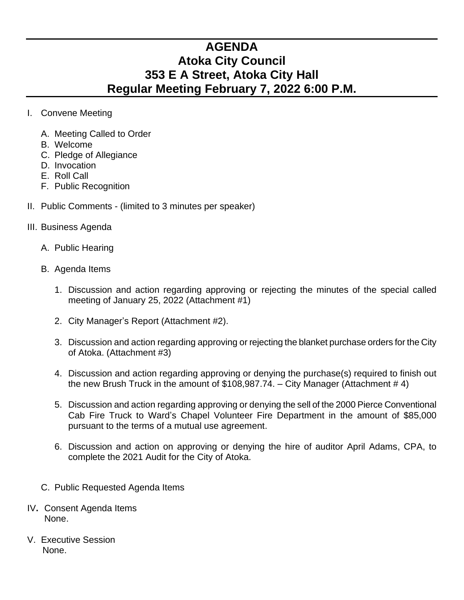## **AGENDA Atoka City Council 353 E A Street, Atoka City Hall Regular Meeting February 7, 2022 6:00 P.M.**

- I. Convene Meeting
	- A. Meeting Called to Order
	- B. Welcome
	- C. Pledge of Allegiance
	- D. Invocation
	- E. Roll Call
	- F. Public Recognition
- II. Public Comments (limited to 3 minutes per speaker)
- III. Business Agenda
	- A. Public Hearing
	- B. Agenda Items
		- 1. Discussion and action regarding approving or rejecting the minutes of the special called meeting of January 25, 2022 (Attachment #1)
		- 2. City Manager's Report (Attachment #2).
		- 3. Discussion and action regarding approving or rejecting the blanket purchase orders for the City of Atoka. (Attachment #3)
		- 4. Discussion and action regarding approving or denying the purchase(s) required to finish out the new Brush Truck in the amount of  $$108,987.74. - City Manager (Attachment # 4)$
		- 5. Discussion and action regarding approving or denying the sell of the 2000 Pierce Conventional Cab Fire Truck to Ward's Chapel Volunteer Fire Department in the amount of \$85,000 pursuant to the terms of a mutual use agreement.
		- 6. Discussion and action on approving or denying the hire of auditor April Adams, CPA, to complete the 2021 Audit for the City of Atoka.
	- C. Public Requested Agenda Items
- IV**.** Consent Agenda Items None.
- V. Executive Session None.